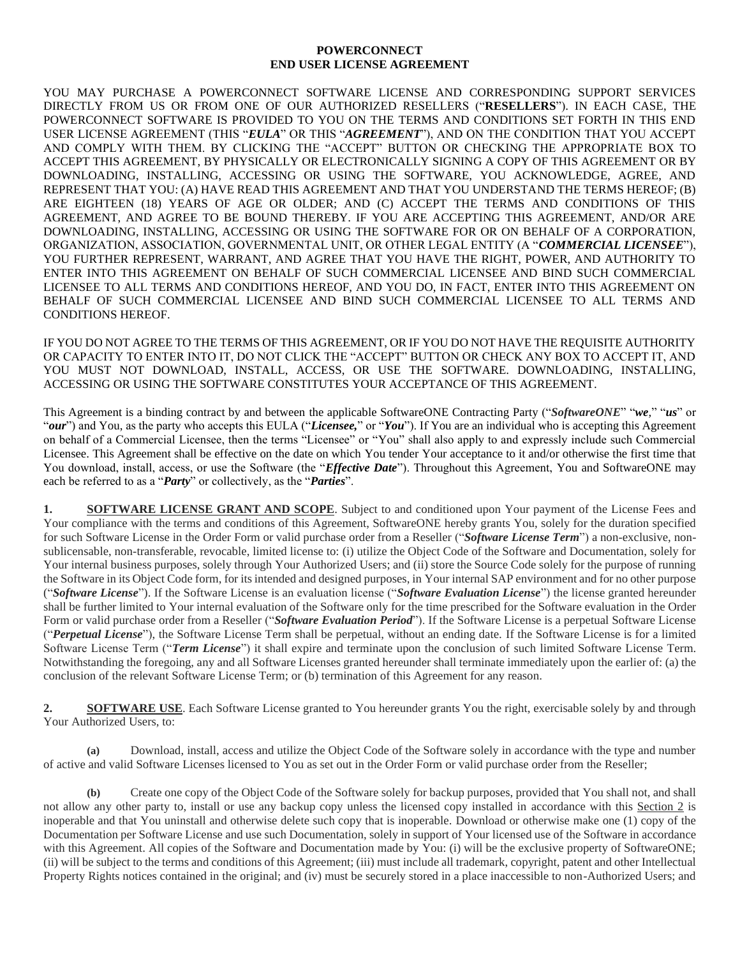#### **POWERCONNECT END USER LICENSE AGREEMENT**

YOU MAY PURCHASE A POWERCONNECT SOFTWARE LICENSE AND CORRESPONDING SUPPORT SERVICES DIRECTLY FROM US OR FROM ONE OF OUR AUTHORIZED RESELLERS ("**RESELLERS**"). IN EACH CASE, THE POWERCONNECT SOFTWARE IS PROVIDED TO YOU ON THE TERMS AND CONDITIONS SET FORTH IN THIS END USER LICENSE AGREEMENT (THIS "*EULA*" OR THIS "*AGREEMENT*"), AND ON THE CONDITION THAT YOU ACCEPT AND COMPLY WITH THEM. BY CLICKING THE "ACCEPT" BUTTON OR CHECKING THE APPROPRIATE BOX TO ACCEPT THIS AGREEMENT, BY PHYSICALLY OR ELECTRONICALLY SIGNING A COPY OF THIS AGREEMENT OR BY DOWNLOADING, INSTALLING, ACCESSING OR USING THE SOFTWARE, YOU ACKNOWLEDGE, AGREE, AND REPRESENT THAT YOU: (A) HAVE READ THIS AGREEMENT AND THAT YOU UNDERSTAND THE TERMS HEREOF; (B) ARE EIGHTEEN (18) YEARS OF AGE OR OLDER; AND (C) ACCEPT THE TERMS AND CONDITIONS OF THIS AGREEMENT, AND AGREE TO BE BOUND THEREBY. IF YOU ARE ACCEPTING THIS AGREEMENT, AND/OR ARE DOWNLOADING, INSTALLING, ACCESSING OR USING THE SOFTWARE FOR OR ON BEHALF OF A CORPORATION, ORGANIZATION, ASSOCIATION, GOVERNMENTAL UNIT, OR OTHER LEGAL ENTITY (A "*COMMERCIAL LICENSEE*"), YOU FURTHER REPRESENT, WARRANT, AND AGREE THAT YOU HAVE THE RIGHT, POWER, AND AUTHORITY TO ENTER INTO THIS AGREEMENT ON BEHALF OF SUCH COMMERCIAL LICENSEE AND BIND SUCH COMMERCIAL LICENSEE TO ALL TERMS AND CONDITIONS HEREOF, AND YOU DO, IN FACT, ENTER INTO THIS AGREEMENT ON BEHALF OF SUCH COMMERCIAL LICENSEE AND BIND SUCH COMMERCIAL LICENSEE TO ALL TERMS AND CONDITIONS HEREOF.

IF YOU DO NOT AGREE TO THE TERMS OF THIS AGREEMENT, OR IF YOU DO NOT HAVE THE REQUISITE AUTHORITY OR CAPACITY TO ENTER INTO IT, DO NOT CLICK THE "ACCEPT" BUTTON OR CHECK ANY BOX TO ACCEPT IT, AND YOU MUST NOT DOWNLOAD, INSTALL, ACCESS, OR USE THE SOFTWARE. DOWNLOADING, INSTALLING, ACCESSING OR USING THE SOFTWARE CONSTITUTES YOUR ACCEPTANCE OF THIS AGREEMENT.

This Agreement is a binding contract by and between the applicable SoftwareONE Contracting Party ("*SoftwareONE*" "*we,*" "*us*" or "*our*") and You, as the party who accepts this EULA ("*Licensee*," or "*You*"). If You are an individual who is accepting this Agreement on behalf of a Commercial Licensee, then the terms "Licensee" or "You" shall also apply to and expressly include such Commercial Licensee. This Agreement shall be effective on the date on which You tender Your acceptance to it and/or otherwise the first time that You download, install, access, or use the Software (the "*Effective Date*"). Throughout this Agreement, You and SoftwareONE may each be referred to as a "*Party*" or collectively, as the "*Parties*".

**1. SOFTWARE LICENSE GRANT AND SCOPE**. Subject to and conditioned upon Your payment of the License Fees and Your compliance with the terms and conditions of this Agreement, SoftwareONE hereby grants You, solely for the duration specified for such Software License in the Order Form or valid purchase order from a Reseller ("*Software License Term*") a non-exclusive, nonsublicensable, non-transferable, revocable, limited license to: (i) utilize the Object Code of the Software and Documentation, solely for Your internal business purposes, solely through Your Authorized Users; and (ii) store the Source Code solely for the purpose of running the Software in its Object Code form, for its intended and designed purposes, in Your internal SAP environment and for no other purpose ("*Software License*"). If the Software License is an evaluation license ("*Software Evaluation License*") the license granted hereunder shall be further limited to Your internal evaluation of the Software only for the time prescribed for the Software evaluation in the Order Form or valid purchase order from a Reseller ("*Software Evaluation Period*"). If the Software License is a perpetual Software License ("*Perpetual License*"), the Software License Term shall be perpetual, without an ending date. If the Software License is for a limited Software License Term ("*Term License*") it shall expire and terminate upon the conclusion of such limited Software License Term. Notwithstanding the foregoing, any and all Software Licenses granted hereunder shall terminate immediately upon the earlier of: (a) the conclusion of the relevant Software License Term; or (b) termination of this Agreement for any reason.

**2. SOFTWARE USE**. Each Software License granted to You hereunder grants You the right, exercisable solely by and through Your Authorized Users, to:

**(a)** Download, install, access and utilize the Object Code of the Software solely in accordance with the type and number of active and valid Software Licenses licensed to You as set out in the Order Form or valid purchase order from the Reseller;

**(b)** Create one copy of the Object Code of the Software solely for backup purposes, provided that You shall not, and shall not allow any other party to, install or use any backup copy unless the licensed copy installed in accordance with this Section 2 is inoperable and that You uninstall and otherwise delete such copy that is inoperable. Download or otherwise make one (1) copy of the Documentation per Software License and use such Documentation, solely in support of Your licensed use of the Software in accordance with this Agreement. All copies of the Software and Documentation made by You: (i) will be the exclusive property of SoftwareONE; (ii) will be subject to the terms and conditions of this Agreement; (iii) must include all trademark, copyright, patent and other Intellectual Property Rights notices contained in the original; and (iv) must be securely stored in a place inaccessible to non-Authorized Users; and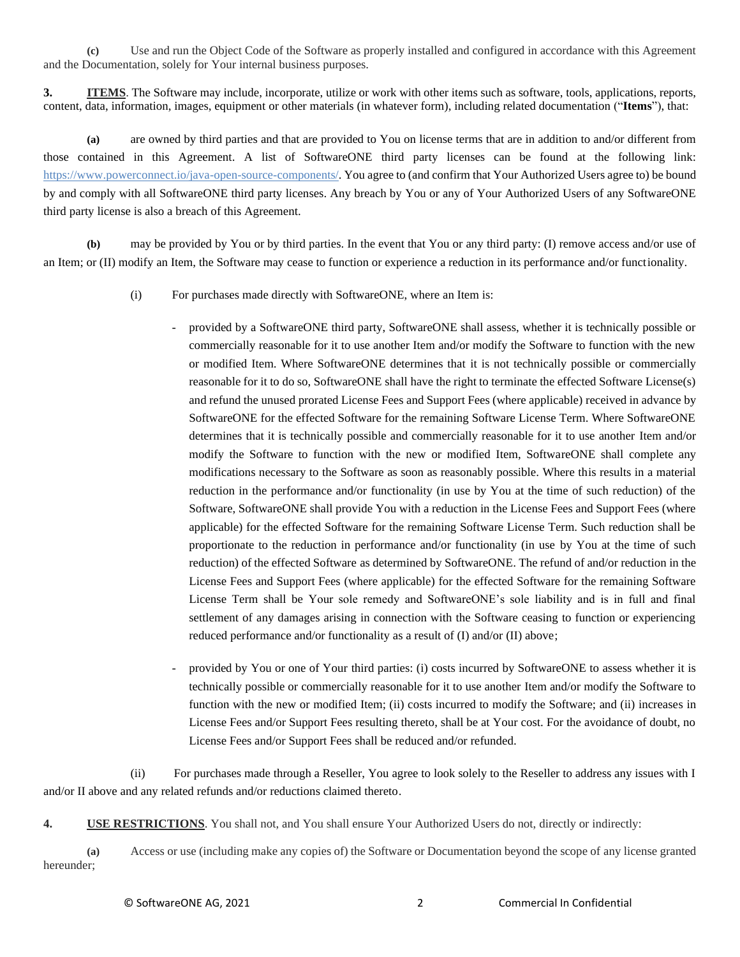**(c)** Use and run the Object Code of the Software as properly installed and configured in accordance with this Agreement and the Documentation, solely for Your internal business purposes.

**3. ITEMS**. The Software may include, incorporate, utilize or work with other items such as software, tools, applications, reports, content, data, information, images, equipment or other materials (in whatever form), including related documentation ("**Items**"), that:

**(a)** are owned by third parties and that are provided to You on license terms that are in addition to and/or different from those contained in this Agreement. A list of SoftwareONE third party licenses can be found at the following link: [https://www.powerconnect.io/java-open-source-components/.](https://www.powerconnect.io/java-open-source-components/) You agree to (and confirm that Your Authorized Users agree to) be bound by and comply with all SoftwareONE third party licenses. Any breach by You or any of Your Authorized Users of any SoftwareONE third party license is also a breach of this Agreement.

**(b)** may be provided by You or by third parties. In the event that You or any third party: (I) remove access and/or use of an Item; or (II) modify an Item, the Software may cease to function or experience a reduction in its performance and/or functionality.

- (i) For purchases made directly with SoftwareONE, where an Item is:
	- provided by a SoftwareONE third party, SoftwareONE shall assess, whether it is technically possible or commercially reasonable for it to use another Item and/or modify the Software to function with the new or modified Item. Where SoftwareONE determines that it is not technically possible or commercially reasonable for it to do so, SoftwareONE shall have the right to terminate the effected Software License(s) and refund the unused prorated License Fees and Support Fees (where applicable) received in advance by SoftwareONE for the effected Software for the remaining Software License Term. Where SoftwareONE determines that it is technically possible and commercially reasonable for it to use another Item and/or modify the Software to function with the new or modified Item, SoftwareONE shall complete any modifications necessary to the Software as soon as reasonably possible. Where this results in a material reduction in the performance and/or functionality (in use by You at the time of such reduction) of the Software, SoftwareONE shall provide You with a reduction in the License Fees and Support Fees (where applicable) for the effected Software for the remaining Software License Term. Such reduction shall be proportionate to the reduction in performance and/or functionality (in use by You at the time of such reduction) of the effected Software as determined by SoftwareONE. The refund of and/or reduction in the License Fees and Support Fees (where applicable) for the effected Software for the remaining Software License Term shall be Your sole remedy and SoftwareONE's sole liability and is in full and final settlement of any damages arising in connection with the Software ceasing to function or experiencing reduced performance and/or functionality as a result of (I) and/or (II) above;
	- provided by You or one of Your third parties: (i) costs incurred by SoftwareONE to assess whether it is technically possible or commercially reasonable for it to use another Item and/or modify the Software to function with the new or modified Item; (ii) costs incurred to modify the Software; and (ii) increases in License Fees and/or Support Fees resulting thereto, shall be at Your cost. For the avoidance of doubt, no License Fees and/or Support Fees shall be reduced and/or refunded.

(ii) For purchases made through a Reseller, You agree to look solely to the Reseller to address any issues with I and/or II above and any related refunds and/or reductions claimed thereto.

**4. USE RESTRICTIONS**. You shall not, and You shall ensure Your Authorized Users do not, directly or indirectly:

**(a)** Access or use (including make any copies of) the Software or Documentation beyond the scope of any license granted hereunder;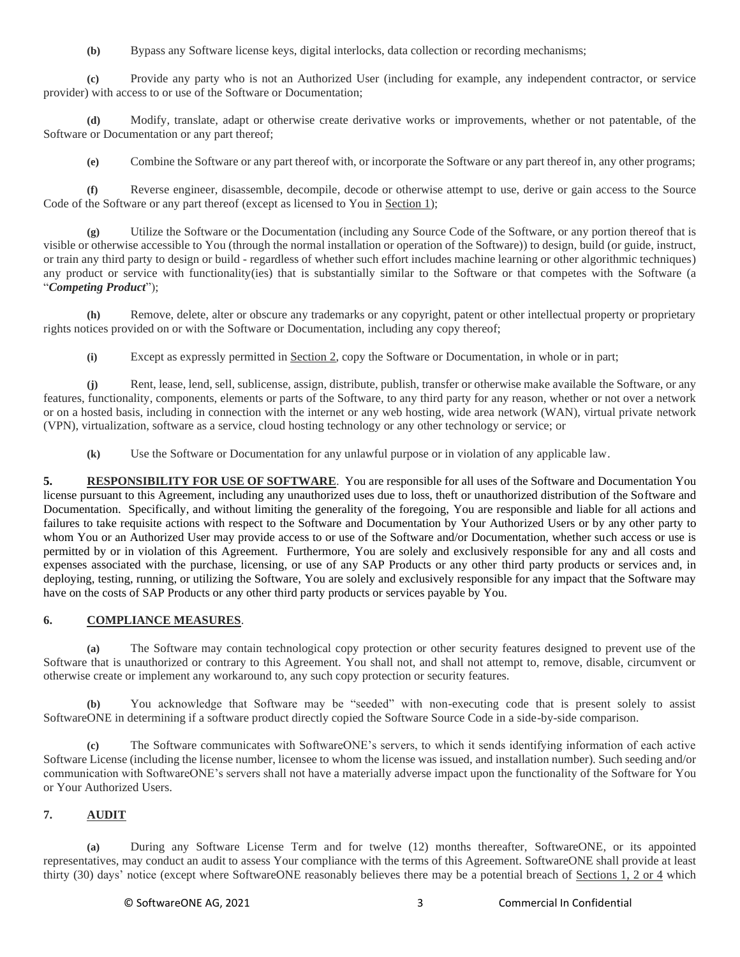**(b)** Bypass any Software license keys, digital interlocks, data collection or recording mechanisms;

**(c)** Provide any party who is not an Authorized User (including for example, any independent contractor, or service provider) with access to or use of the Software or Documentation;

**(d)** Modify, translate, adapt or otherwise create derivative works or improvements, whether or not patentable, of the Software or Documentation or any part thereof;

**(e)** Combine the Software or any part thereof with, or incorporate the Software or any part thereof in, any other programs;

**(f)** Reverse engineer, disassemble, decompile, decode or otherwise attempt to use, derive or gain access to the Source Code of the Software or any part thereof (except as licensed to You in Section 1);

**(g)** Utilize the Software or the Documentation (including any Source Code of the Software, or any portion thereof that is visible or otherwise accessible to You (through the normal installation or operation of the Software)) to design, build (or guide, instruct, or train any third party to design or build - regardless of whether such effort includes machine learning or other algorithmic techniques) any product or service with functionality(ies) that is substantially similar to the Software or that competes with the Software (a "*Competing Product*");

**(h)** Remove, delete, alter or obscure any trademarks or any copyright, patent or other intellectual property or proprietary rights notices provided on or with the Software or Documentation, including any copy thereof;

**(i)** Except as expressly permitted in Section 2, copy the Software or Documentation, in whole or in part;

**(j)** Rent, lease, lend, sell, sublicense, assign, distribute, publish, transfer or otherwise make available the Software, or any features, functionality, components, elements or parts of the Software, to any third party for any reason, whether or not over a network or on a hosted basis, including in connection with the internet or any web hosting, wide area network (WAN), virtual private network (VPN), virtualization, software as a service, cloud hosting technology or any other technology or service; or

**(k)** Use the Software or Documentation for any unlawful purpose or in violation of any applicable law.

**5. RESPONSIBILITY FOR USE OF SOFTWARE**. You are responsible for all uses of the Software and Documentation You license pursuant to this Agreement, including any unauthorized uses due to loss, theft or unauthorized distribution of the Software and Documentation. Specifically, and without limiting the generality of the foregoing, You are responsible and liable for all actions and failures to take requisite actions with respect to the Software and Documentation by Your Authorized Users or by any other party to whom You or an Authorized User may provide access to or use of the Software and/or Documentation, whether such access or use is permitted by or in violation of this Agreement. Furthermore, You are solely and exclusively responsible for any and all costs and expenses associated with the purchase, licensing, or use of any SAP Products or any other third party products or services and, in deploying, testing, running, or utilizing the Software, You are solely and exclusively responsible for any impact that the Software may have on the costs of SAP Products or any other third party products or services payable by You.

#### **6. COMPLIANCE MEASURES**.

**(a)** The Software may contain technological copy protection or other security features designed to prevent use of the Software that is unauthorized or contrary to this Agreement. You shall not, and shall not attempt to, remove, disable, circumvent or otherwise create or implement any workaround to, any such copy protection or security features.

**(b)** You acknowledge that Software may be "seeded" with non-executing code that is present solely to assist SoftwareONE in determining if a software product directly copied the Software Source Code in a side-by-side comparison.

**(c)** The Software communicates with SoftwareONE's servers, to which it sends identifying information of each active Software License (including the license number, licensee to whom the license was issued, and installation number). Such seeding and/or communication with SoftwareONE's servers shall not have a materially adverse impact upon the functionality of the Software for You or Your Authorized Users.

## **7. AUDIT**

**(a)** During any Software License Term and for twelve (12) months thereafter, SoftwareONE, or its appointed representatives, may conduct an audit to assess Your compliance with the terms of this Agreement. SoftwareONE shall provide at least thirty (30) days' notice (except where SoftwareONE reasonably believes there may be a potential breach of Sections 1, 2 or 4 which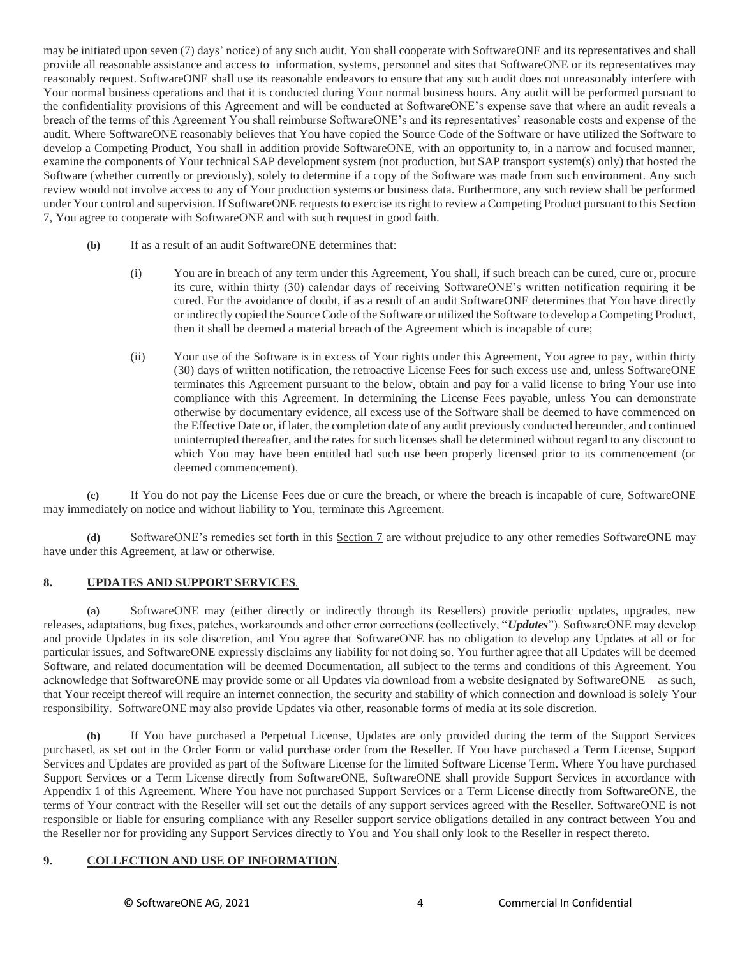may be initiated upon seven (7) days' notice) of any such audit. You shall cooperate with SoftwareONE and its representatives and shall provide all reasonable assistance and access to information, systems, personnel and sites that SoftwareONE or its representatives may reasonably request. SoftwareONE shall use its reasonable endeavors to ensure that any such audit does not unreasonably interfere with Your normal business operations and that it is conducted during Your normal business hours. Any audit will be performed pursuant to the confidentiality provisions of this Agreement and will be conducted at SoftwareONE's expense save that where an audit reveals a breach of the terms of this Agreement You shall reimburse SoftwareONE's and its representatives' reasonable costs and expense of the audit. Where SoftwareONE reasonably believes that You have copied the Source Code of the Software or have utilized the Software to develop a Competing Product, You shall in addition provide SoftwareONE, with an opportunity to, in a narrow and focused manner, examine the components of Your technical SAP development system (not production, but SAP transport system(s) only) that hosted the Software (whether currently or previously), solely to determine if a copy of the Software was made from such environment. Any such review would not involve access to any of Your production systems or business data. Furthermore, any such review shall be performed under Your control and supervision. If SoftwareONE requests to exercise its right to review a Competing Product pursuant to this Section 7, You agree to cooperate with SoftwareONE and with such request in good faith.

- **(b)** If as a result of an audit SoftwareONE determines that:
	- (i) You are in breach of any term under this Agreement, You shall, if such breach can be cured, cure or, procure its cure, within thirty (30) calendar days of receiving SoftwareONE's written notification requiring it be cured. For the avoidance of doubt, if as a result of an audit SoftwareONE determines that You have directly or indirectly copied the Source Code of the Software or utilized the Software to develop a Competing Product, then it shall be deemed a material breach of the Agreement which is incapable of cure;
	- (ii) Your use of the Software is in excess of Your rights under this Agreement, You agree to pay, within thirty (30) days of written notification, the retroactive License Fees for such excess use and, unless SoftwareONE terminates this Agreement pursuant to the below, obtain and pay for a valid license to bring Your use into compliance with this Agreement. In determining the License Fees payable, unless You can demonstrate otherwise by documentary evidence, all excess use of the Software shall be deemed to have commenced on the Effective Date or, if later, the completion date of any audit previously conducted hereunder, and continued uninterrupted thereafter, and the rates for such licenses shall be determined without regard to any discount to which You may have been entitled had such use been properly licensed prior to its commencement (or deemed commencement).

**(c)** If You do not pay the License Fees due or cure the breach, or where the breach is incapable of cure, SoftwareONE may immediately on notice and without liability to You, terminate this Agreement.

**(d)** SoftwareONE's remedies set forth in this Section 7 are without prejudice to any other remedies SoftwareONE may have under this Agreement, at law or otherwise.

### **8. UPDATES AND SUPPORT SERVICES**.

**(a)** SoftwareONE may (either directly or indirectly through its Resellers) provide periodic updates, upgrades, new releases, adaptations, bug fixes, patches, workarounds and other error corrections (collectively, "*Updates*"). SoftwareONE may develop and provide Updates in its sole discretion, and You agree that SoftwareONE has no obligation to develop any Updates at all or for particular issues, and SoftwareONE expressly disclaims any liability for not doing so. You further agree that all Updates will be deemed Software, and related documentation will be deemed Documentation, all subject to the terms and conditions of this Agreement. You acknowledge that SoftwareONE may provide some or all Updates via download from a website designated by SoftwareONE – as such, that Your receipt thereof will require an internet connection, the security and stability of which connection and download is solely Your responsibility. SoftwareONE may also provide Updates via other, reasonable forms of media at its sole discretion.

**(b)** If You have purchased a Perpetual License, Updates are only provided during the term of the Support Services purchased, as set out in the Order Form or valid purchase order from the Reseller. If You have purchased a Term License, Support Services and Updates are provided as part of the Software License for the limited Software License Term. Where You have purchased Support Services or a Term License directly from SoftwareONE, SoftwareONE shall provide Support Services in accordance with Appendix 1 of this Agreement. Where You have not purchased Support Services or a Term License directly from SoftwareONE, the terms of Your contract with the Reseller will set out the details of any support services agreed with the Reseller. SoftwareONE is not responsible or liable for ensuring compliance with any Reseller support service obligations detailed in any contract between You and the Reseller nor for providing any Support Services directly to You and You shall only look to the Reseller in respect thereto.

#### **9. COLLECTION AND USE OF INFORMATION**.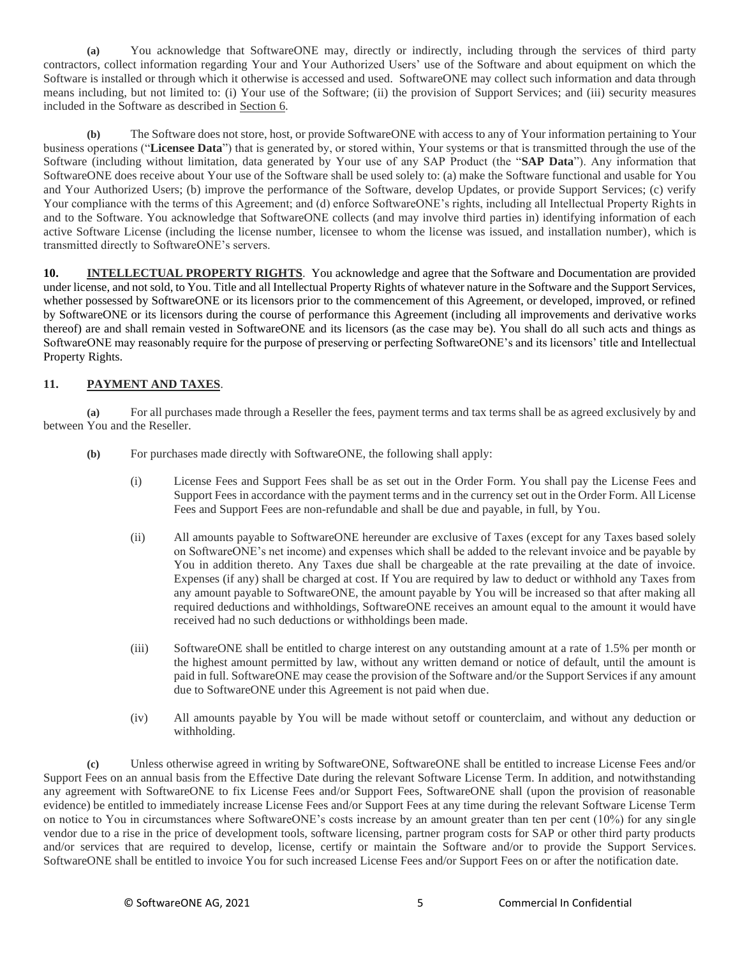**(a)** You acknowledge that SoftwareONE may, directly or indirectly, including through the services of third party contractors, collect information regarding Your and Your Authorized Users' use of the Software and about equipment on which the Software is installed or through which it otherwise is accessed and used. SoftwareONE may collect such information and data through means including, but not limited to: (i) Your use of the Software; (ii) the provision of Support Services; and (iii) security measures included in the Software as described in Section 6.

**(b)** The Software does not store, host, or provide SoftwareONE with access to any of Your information pertaining to Your business operations ("**Licensee Data**") that is generated by, or stored within, Your systems or that is transmitted through the use of the Software (including without limitation, data generated by Your use of any SAP Product (the "**SAP Data**"). Any information that SoftwareONE does receive about Your use of the Software shall be used solely to: (a) make the Software functional and usable for You and Your Authorized Users; (b) improve the performance of the Software, develop Updates, or provide Support Services; (c) verify Your compliance with the terms of this Agreement; and (d) enforce SoftwareONE's rights, including all Intellectual Property Rights in and to the Software. You acknowledge that SoftwareONE collects (and may involve third parties in) identifying information of each active Software License (including the license number, licensee to whom the license was issued, and installation number), which is transmitted directly to SoftwareONE's servers.

**10. INTELLECTUAL PROPERTY RIGHTS**. You acknowledge and agree that the Software and Documentation are provided under license, and not sold, to You. Title and all Intellectual Property Rights of whatever nature in the Software and the Support Services, whether possessed by SoftwareONE or its licensors prior to the commencement of this Agreement, or developed, improved, or refined by SoftwareONE or its licensors during the course of performance this Agreement (including all improvements and derivative works thereof) are and shall remain vested in SoftwareONE and its licensors (as the case may be). You shall do all such acts and things as SoftwareONE may reasonably require for the purpose of preserving or perfecting SoftwareONE's and its licensors' title and Intellectual Property Rights.

# **11. PAYMENT AND TAXES**.

**(a)** For all purchases made through a Reseller the fees, payment terms and tax terms shall be as agreed exclusively by and between You and the Reseller.

- **(b)** For purchases made directly with SoftwareONE, the following shall apply:
	- (i) License Fees and Support Fees shall be as set out in the Order Form. You shall pay the License Fees and Support Fees in accordance with the payment terms and in the currency set out in the Order Form. All License Fees and Support Fees are non-refundable and shall be due and payable, in full, by You.
	- (ii) All amounts payable to SoftwareONE hereunder are exclusive of Taxes (except for any Taxes based solely on SoftwareONE's net income) and expenses which shall be added to the relevant invoice and be payable by You in addition thereto. Any Taxes due shall be chargeable at the rate prevailing at the date of invoice. Expenses (if any) shall be charged at cost. If You are required by law to deduct or withhold any Taxes from any amount payable to SoftwareONE, the amount payable by You will be increased so that after making all required deductions and withholdings, SoftwareONE receives an amount equal to the amount it would have received had no such deductions or withholdings been made.
	- (iii) SoftwareONE shall be entitled to charge interest on any outstanding amount at a rate of 1.5% per month or the highest amount permitted by law, without any written demand or notice of default, until the amount is paid in full. SoftwareONE may cease the provision of the Software and/or the Support Services if any amount due to SoftwareONE under this Agreement is not paid when due.
	- (iv) All amounts payable by You will be made without setoff or counterclaim, and without any deduction or withholding.

**(c)** Unless otherwise agreed in writing by SoftwareONE, SoftwareONE shall be entitled to increase License Fees and/or Support Fees on an annual basis from the Effective Date during the relevant Software License Term. In addition, and notwithstanding any agreement with SoftwareONE to fix License Fees and/or Support Fees, SoftwareONE shall (upon the provision of reasonable evidence) be entitled to immediately increase License Fees and/or Support Fees at any time during the relevant Software License Term on notice to You in circumstances where SoftwareONE's costs increase by an amount greater than ten per cent (10%) for any single vendor due to a rise in the price of development tools, software licensing, partner program costs for SAP or other third party products and/or services that are required to develop, license, certify or maintain the Software and/or to provide the Support Services. SoftwareONE shall be entitled to invoice You for such increased License Fees and/or Support Fees on or after the notification date.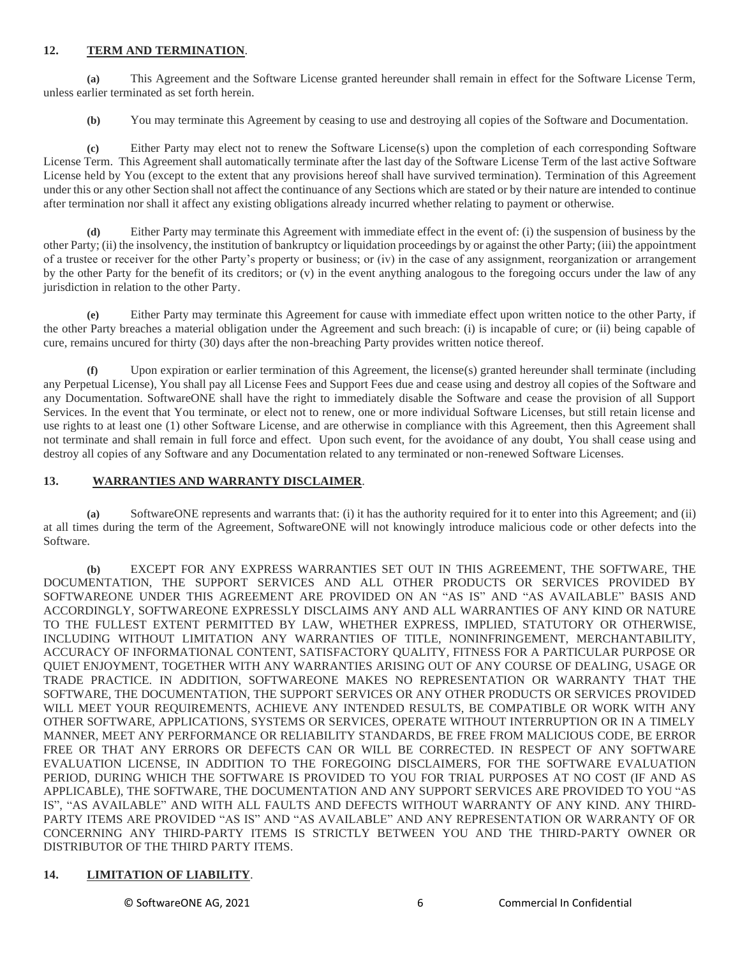#### **12. TERM AND TERMINATION**.

**(a)** This Agreement and the Software License granted hereunder shall remain in effect for the Software License Term, unless earlier terminated as set forth herein.

**(b)** You may terminate this Agreement by ceasing to use and destroying all copies of the Software and Documentation.

**(c)** Either Party may elect not to renew the Software License(s) upon the completion of each corresponding Software License Term. This Agreement shall automatically terminate after the last day of the Software License Term of the last active Software License held by You (except to the extent that any provisions hereof shall have survived termination). Termination of this Agreement under this or any other Section shall not affect the continuance of any Sections which are stated or by their nature are intended to continue after termination nor shall it affect any existing obligations already incurred whether relating to payment or otherwise.

**(d)** Either Party may terminate this Agreement with immediate effect in the event of: (i) the suspension of business by the other Party; (ii) the insolvency, the institution of bankruptcy or liquidation proceedings by or against the other Party; (iii) the appointment of a trustee or receiver for the other Party's property or business; or (iv) in the case of any assignment, reorganization or arrangement by the other Party for the benefit of its creditors; or (v) in the event anything analogous to the foregoing occurs under the law of any jurisdiction in relation to the other Party.

**(e)** Either Party may terminate this Agreement for cause with immediate effect upon written notice to the other Party, if the other Party breaches a material obligation under the Agreement and such breach: (i) is incapable of cure; or (ii) being capable of cure, remains uncured for thirty (30) days after the non-breaching Party provides written notice thereof.

**(f)** Upon expiration or earlier termination of this Agreement, the license(s) granted hereunder shall terminate (including any Perpetual License), You shall pay all License Fees and Support Fees due and cease using and destroy all copies of the Software and any Documentation. SoftwareONE shall have the right to immediately disable the Software and cease the provision of all Support Services. In the event that You terminate, or elect not to renew, one or more individual Software Licenses, but still retain license and use rights to at least one (1) other Software License, and are otherwise in compliance with this Agreement, then this Agreement shall not terminate and shall remain in full force and effect. Upon such event, for the avoidance of any doubt, You shall cease using and destroy all copies of any Software and any Documentation related to any terminated or non-renewed Software Licenses.

#### **13. WARRANTIES AND WARRANTY DISCLAIMER**.

**(a)** SoftwareONE represents and warrants that: (i) it has the authority required for it to enter into this Agreement; and (ii) at all times during the term of the Agreement, SoftwareONE will not knowingly introduce malicious code or other defects into the Software.

**(b)** EXCEPT FOR ANY EXPRESS WARRANTIES SET OUT IN THIS AGREEMENT, THE SOFTWARE, THE DOCUMENTATION, THE SUPPORT SERVICES AND ALL OTHER PRODUCTS OR SERVICES PROVIDED BY SOFTWAREONE UNDER THIS AGREEMENT ARE PROVIDED ON AN "AS IS" AND "AS AVAILABLE" BASIS AND ACCORDINGLY, SOFTWAREONE EXPRESSLY DISCLAIMS ANY AND ALL WARRANTIES OF ANY KIND OR NATURE TO THE FULLEST EXTENT PERMITTED BY LAW, WHETHER EXPRESS, IMPLIED, STATUTORY OR OTHERWISE, INCLUDING WITHOUT LIMITATION ANY WARRANTIES OF TITLE, NONINFRINGEMENT, MERCHANTABILITY, ACCURACY OF INFORMATIONAL CONTENT, SATISFACTORY QUALITY, FITNESS FOR A PARTICULAR PURPOSE OR QUIET ENJOYMENT, TOGETHER WITH ANY WARRANTIES ARISING OUT OF ANY COURSE OF DEALING, USAGE OR TRADE PRACTICE. IN ADDITION, SOFTWAREONE MAKES NO REPRESENTATION OR WARRANTY THAT THE SOFTWARE, THE DOCUMENTATION, THE SUPPORT SERVICES OR ANY OTHER PRODUCTS OR SERVICES PROVIDED WILL MEET YOUR REQUIREMENTS, ACHIEVE ANY INTENDED RESULTS, BE COMPATIBLE OR WORK WITH ANY OTHER SOFTWARE, APPLICATIONS, SYSTEMS OR SERVICES, OPERATE WITHOUT INTERRUPTION OR IN A TIMELY MANNER, MEET ANY PERFORMANCE OR RELIABILITY STANDARDS, BE FREE FROM MALICIOUS CODE, BE ERROR FREE OR THAT ANY ERRORS OR DEFECTS CAN OR WILL BE CORRECTED. IN RESPECT OF ANY SOFTWARE EVALUATION LICENSE, IN ADDITION TO THE FOREGOING DISCLAIMERS, FOR THE SOFTWARE EVALUATION PERIOD, DURING WHICH THE SOFTWARE IS PROVIDED TO YOU FOR TRIAL PURPOSES AT NO COST (IF AND AS APPLICABLE), THE SOFTWARE, THE DOCUMENTATION AND ANY SUPPORT SERVICES ARE PROVIDED TO YOU "AS IS", "AS AVAILABLE" AND WITH ALL FAULTS AND DEFECTS WITHOUT WARRANTY OF ANY KIND. ANY THIRD-PARTY ITEMS ARE PROVIDED "AS IS" AND "AS AVAILABLE" AND ANY REPRESENTATION OR WARRANTY OF OR CONCERNING ANY THIRD-PARTY ITEMS IS STRICTLY BETWEEN YOU AND THE THIRD-PARTY OWNER OR DISTRIBUTOR OF THE THIRD PARTY ITEMS.

#### **14. LIMITATION OF LIABILITY**.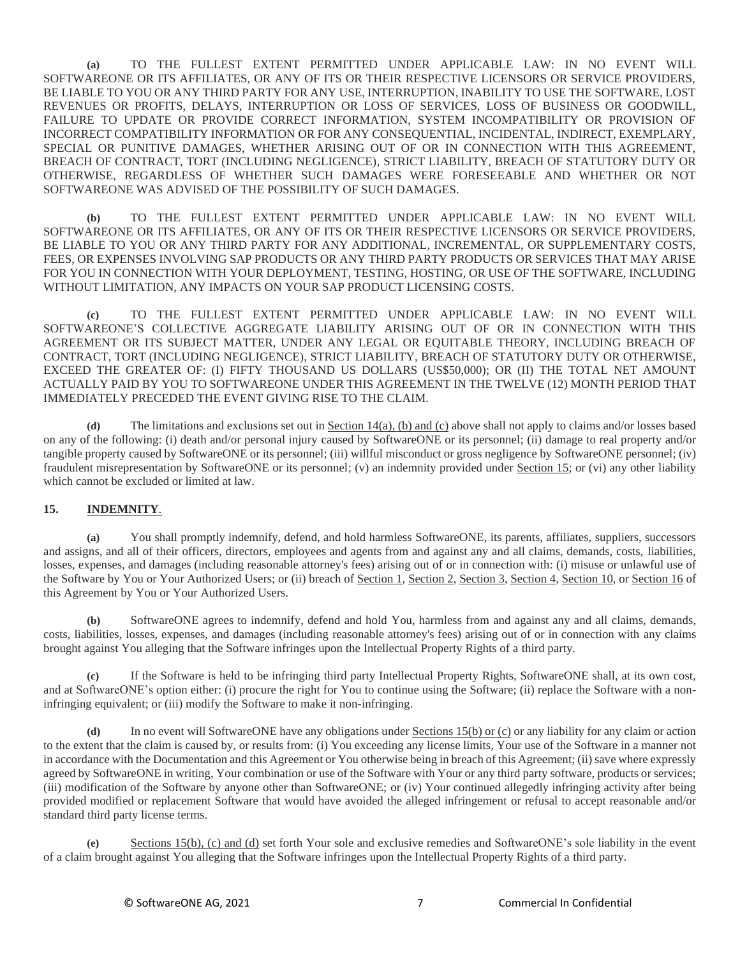**(a)** TO THE FULLEST EXTENT PERMITTED UNDER APPLICABLE LAW: IN NO EVENT WILL SOFTWAREONE OR ITS AFFILIATES, OR ANY OF ITS OR THEIR RESPECTIVE LICENSORS OR SERVICE PROVIDERS, BE LIABLE TO YOU OR ANY THIRD PARTY FOR ANY USE, INTERRUPTION, INABILITY TO USE THE SOFTWARE, LOST REVENUES OR PROFITS, DELAYS, INTERRUPTION OR LOSS OF SERVICES, LOSS OF BUSINESS OR GOODWILL, FAILURE TO UPDATE OR PROVIDE CORRECT INFORMATION, SYSTEM INCOMPATIBILITY OR PROVISION OF INCORRECT COMPATIBILITY INFORMATION OR FOR ANY CONSEQUENTIAL, INCIDENTAL, INDIRECT, EXEMPLARY, SPECIAL OR PUNITIVE DAMAGES, WHETHER ARISING OUT OF OR IN CONNECTION WITH THIS AGREEMENT, BREACH OF CONTRACT, TORT (INCLUDING NEGLIGENCE), STRICT LIABILITY, BREACH OF STATUTORY DUTY OR OTHERWISE, REGARDLESS OF WHETHER SUCH DAMAGES WERE FORESEEABLE AND WHETHER OR NOT SOFTWAREONE WAS ADVISED OF THE POSSIBILITY OF SUCH DAMAGES.

**(b)** TO THE FULLEST EXTENT PERMITTED UNDER APPLICABLE LAW: IN NO EVENT WILL SOFTWAREONE OR ITS AFFILIATES, OR ANY OF ITS OR THEIR RESPECTIVE LICENSORS OR SERVICE PROVIDERS, BE LIABLE TO YOU OR ANY THIRD PARTY FOR ANY ADDITIONAL, INCREMENTAL, OR SUPPLEMENTARY COSTS, FEES, OR EXPENSES INVOLVING SAP PRODUCTS OR ANY THIRD PARTY PRODUCTS OR SERVICES THAT MAY ARISE FOR YOU IN CONNECTION WITH YOUR DEPLOYMENT, TESTING, HOSTING, OR USE OF THE SOFTWARE, INCLUDING WITHOUT LIMITATION, ANY IMPACTS ON YOUR SAP PRODUCT LICENSING COSTS.

**(c)** TO THE FULLEST EXTENT PERMITTED UNDER APPLICABLE LAW: IN NO EVENT WILL SOFTWAREONE'S COLLECTIVE AGGREGATE LIABILITY ARISING OUT OF OR IN CONNECTION WITH THIS AGREEMENT OR ITS SUBJECT MATTER, UNDER ANY LEGAL OR EQUITABLE THEORY, INCLUDING BREACH OF CONTRACT, TORT (INCLUDING NEGLIGENCE), STRICT LIABILITY, BREACH OF STATUTORY DUTY OR OTHERWISE, EXCEED THE GREATER OF: (I) FIFTY THOUSAND US DOLLARS (US\$50,000); OR (II) THE TOTAL NET AMOUNT ACTUALLY PAID BY YOU TO SOFTWAREONE UNDER THIS AGREEMENT IN THE TWELVE (12) MONTH PERIOD THAT IMMEDIATELY PRECEDED THE EVENT GIVING RISE TO THE CLAIM.

**(d)** The limitations and exclusions set out in Section 14(a), (b) and (c) above shall not apply to claims and/or losses based on any of the following: (i) death and/or personal injury caused by SoftwareONE or its personnel; (ii) damage to real property and/or tangible property caused by SoftwareONE or its personnel; (iii) willful misconduct or gross negligence by SoftwareONE personnel; (iv) fraudulent misrepresentation by SoftwareONE or its personnel; (v) an indemnity provided under Section 15; or (vi) any other liability which cannot be excluded or limited at law.

## **15. INDEMNITY**.

**(a)** You shall promptly indemnify, defend, and hold harmless SoftwareONE, its parents, affiliates, suppliers, successors and assigns, and all of their officers, directors, employees and agents from and against any and all claims, demands, costs, liabilities, losses, expenses, and damages (including reasonable attorney's fees) arising out of or in connection with: (i) misuse or unlawful use of the Software by You or Your Authorized Users; or (ii) breach of Section 1, Section 2, Section 3, Section 4, Section 10, or Section 16 of this Agreement by You or Your Authorized Users.

**(b)** SoftwareONE agrees to indemnify, defend and hold You, harmless from and against any and all claims, demands, costs, liabilities, losses, expenses, and damages (including reasonable attorney's fees) arising out of or in connection with any claims brought against You alleging that the Software infringes upon the Intellectual Property Rights of a third party.

**(c)** If the Software is held to be infringing third party Intellectual Property Rights, SoftwareONE shall, at its own cost, and at SoftwareONE's option either: (i) procure the right for You to continue using the Software; (ii) replace the Software with a noninfringing equivalent; or (iii) modify the Software to make it non-infringing.

**(d)** In no event will SoftwareONE have any obligations under Sections 15(b) or (c) or any liability for any claim or action to the extent that the claim is caused by, or results from: (i) You exceeding any license limits, Your use of the Software in a manner not in accordance with the Documentation and this Agreement or You otherwise being in breach of this Agreement; (ii) save where expressly agreed by SoftwareONE in writing, Your combination or use of the Software with Your or any third party software, products or services; (iii) modification of the Software by anyone other than SoftwareONE; or (iv) Your continued allegedly infringing activity after being provided modified or replacement Software that would have avoided the alleged infringement or refusal to accept reasonable and/or standard third party license terms.

**(e)** Sections 15(b), (c) and (d) set forth Your sole and exclusive remedies and SoftwareONE's sole liability in the event of a claim brought against You alleging that the Software infringes upon the Intellectual Property Rights of a third party.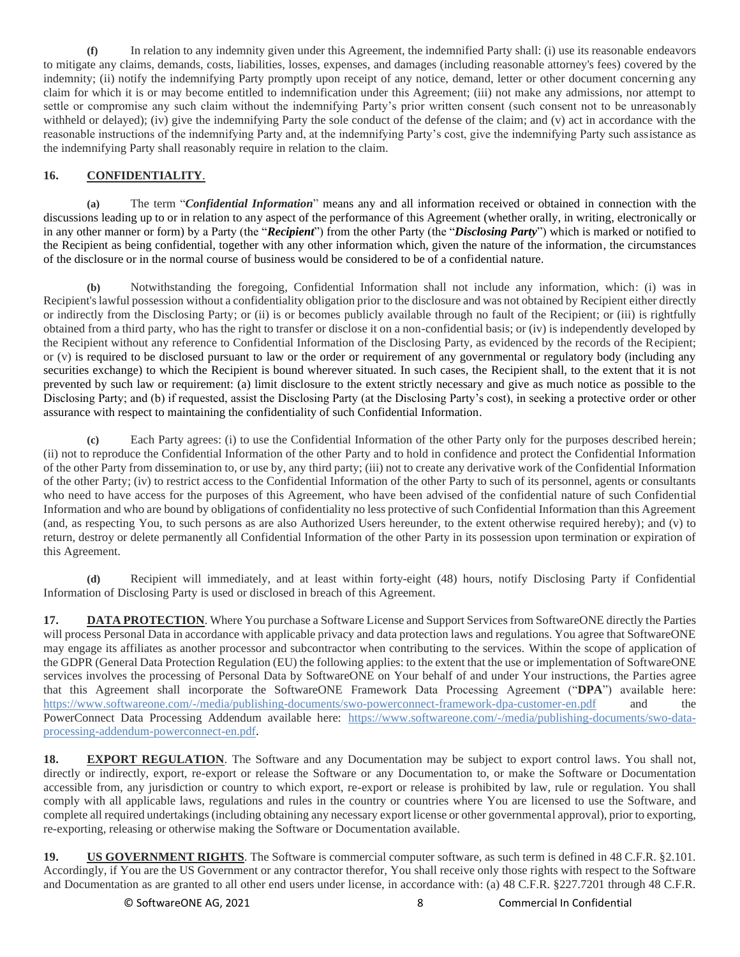**(f)** In relation to any indemnity given under this Agreement, the indemnified Party shall: (i) use its reasonable endeavors to mitigate any claims, demands, costs, liabilities, losses, expenses, and damages (including reasonable attorney's fees) covered by the indemnity; (ii) notify the indemnifying Party promptly upon receipt of any notice, demand, letter or other document concerning any claim for which it is or may become entitled to indemnification under this Agreement; (iii) not make any admissions, nor attempt to settle or compromise any such claim without the indemnifying Party's prior written consent (such consent not to be unreasonably withheld or delayed); (iv) give the indemnifying Party the sole conduct of the defense of the claim; and (v) act in accordance with the reasonable instructions of the indemnifying Party and, at the indemnifying Party's cost, give the indemnifying Party such assistance as the indemnifying Party shall reasonably require in relation to the claim.

# **16. CONFIDENTIALITY**.

**(a)** The term "*Confidential Information*" means any and all information received or obtained in connection with the discussions leading up to or in relation to any aspect of the performance of this Agreement (whether orally, in writing, electronically or in any other manner or form) by a Party (the "*Recipient*") from the other Party (the "*Disclosing Party*") which is marked or notified to the Recipient as being confidential, together with any other information which, given the nature of the information, the circumstances of the disclosure or in the normal course of business would be considered to be of a confidential nature.

**(b)** Notwithstanding the foregoing, Confidential Information shall not include any information, which: (i) was in Recipient's lawful possession without a confidentiality obligation prior to the disclosure and was not obtained by Recipient either directly or indirectly from the Disclosing Party; or (ii) is or becomes publicly available through no fault of the Recipient; or (iii) is rightfully obtained from a third party, who has the right to transfer or disclose it on a non-confidential basis; or (iv) is independently developed by the Recipient without any reference to Confidential Information of the Disclosing Party, as evidenced by the records of the Recipient; or (v) is required to be disclosed pursuant to law or the order or requirement of any governmental or regulatory body (including any securities exchange) to which the Recipient is bound wherever situated. In such cases, the Recipient shall, to the extent that it is not prevented by such law or requirement: (a) limit disclosure to the extent strictly necessary and give as much notice as possible to the Disclosing Party; and (b) if requested, assist the Disclosing Party (at the Disclosing Party's cost), in seeking a protective order or other assurance with respect to maintaining the confidentiality of such Confidential Information.

**(c)** Each Party agrees: (i) to use the Confidential Information of the other Party only for the purposes described herein; (ii) not to reproduce the Confidential Information of the other Party and to hold in confidence and protect the Confidential Information of the other Party from dissemination to, or use by, any third party; (iii) not to create any derivative work of the Confidential Information of the other Party; (iv) to restrict access to the Confidential Information of the other Party to such of its personnel, agents or consultants who need to have access for the purposes of this Agreement, who have been advised of the confidential nature of such Confidential Information and who are bound by obligations of confidentiality no less protective of such Confidential Information than this Agreement (and, as respecting You, to such persons as are also Authorized Users hereunder, to the extent otherwise required hereby); and (v) to return, destroy or delete permanently all Confidential Information of the other Party in its possession upon termination or expiration of this Agreement.

**(d)** Recipient will immediately, and at least within forty-eight (48) hours, notify Disclosing Party if Confidential Information of Disclosing Party is used or disclosed in breach of this Agreement.

**17. DATA PROTECTION**. Where You purchase a Software License and Support Services from SoftwareONE directly the Parties will process Personal Data in accordance with applicable privacy and data protection laws and regulations. You agree that SoftwareONE may engage its affiliates as another processor and subcontractor when contributing to the services. Within the scope of application of the GDPR (General Data Protection Regulation (EU) the following applies: to the extent that the use or implementation of SoftwareONE services involves the processing of Personal Data by SoftwareONE on Your behalf of and under Your instructions, the Parties agree that this Agreement shall incorporate the SoftwareONE Framework Data Processing Agreement ("**DPA**") available here: <https://www.softwareone.com/-/media/publishing-documents/swo-powerconnect-framework-dpa-customer-en.pdf> and the PowerConnect Data Processing Addendum available here: [https://www.softwareone.com/-/media/publishing-documents/swo-data](https://www.softwareone.com/-/media/publishing-documents/swo-data-processing-addendum-powerconnect-en.pdf)[processing-addendum-powerconnect-en.pdf.](https://www.softwareone.com/-/media/publishing-documents/swo-data-processing-addendum-powerconnect-en.pdf)

**18. EXPORT REGULATION**. The Software and any Documentation may be subject to export control laws. You shall not, directly or indirectly, export, re-export or release the Software or any Documentation to, or make the Software or Documentation accessible from, any jurisdiction or country to which export, re-export or release is prohibited by law, rule or regulation. You shall comply with all applicable laws, regulations and rules in the country or countries where You are licensed to use the Software, and complete all required undertakings (including obtaining any necessary export license or other governmental approval), prior to exporting, re-exporting, releasing or otherwise making the Software or Documentation available.

**19. US GOVERNMENT RIGHTS**. The Software is commercial computer software, as such term is defined in 48 C.F.R. §2.101. Accordingly, if You are the US Government or any contractor therefor, You shall receive only those rights with respect to the Software and Documentation as are granted to all other end users under license, in accordance with: (a) 48 C.F.R. §227.7201 through 48 C.F.R.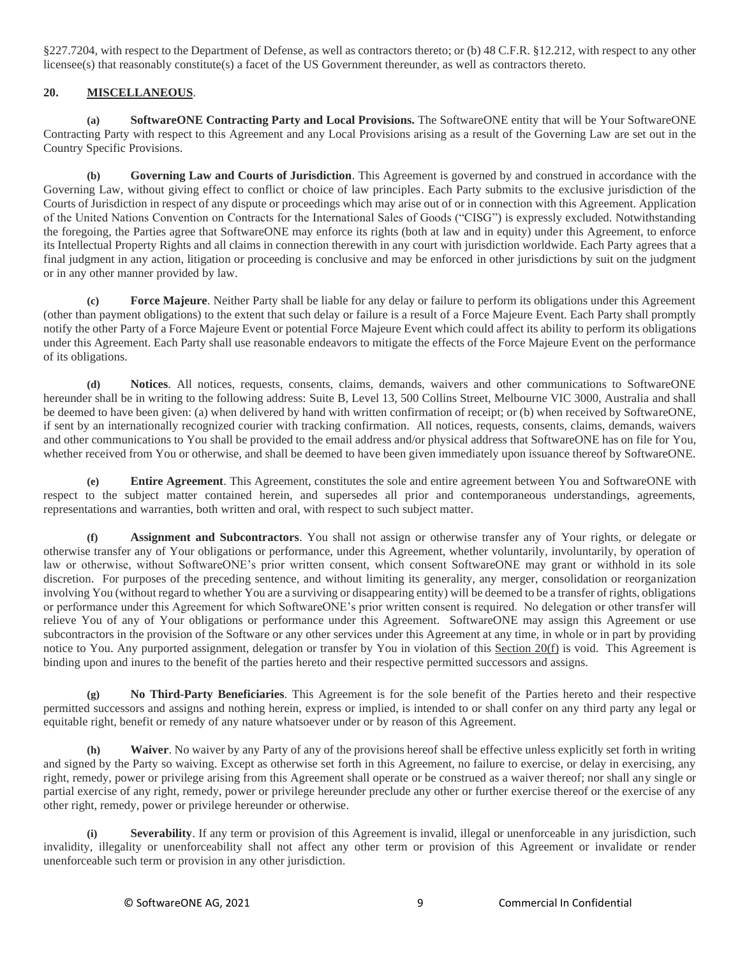§227.7204, with respect to the Department of Defense, as well as contractors thereto; or (b) 48 C.F.R. §12.212, with respect to any other licensee(s) that reasonably constitute(s) a facet of the US Government thereunder, as well as contractors thereto.

### **20. MISCELLANEOUS**.

**(a) SoftwareONE Contracting Party and Local Provisions.** The SoftwareONE entity that will be Your SoftwareONE Contracting Party with respect to this Agreement and any Local Provisions arising as a result of the Governing Law are set out in the Country Specific Provisions.

**(b) Governing Law and Courts of Jurisdiction**. This Agreement is governed by and construed in accordance with the Governing Law, without giving effect to conflict or choice of law principles. Each Party submits to the exclusive jurisdiction of the Courts of Jurisdiction in respect of any dispute or proceedings which may arise out of or in connection with this Agreement. Application of the United Nations Convention on Contracts for the International Sales of Goods ("CISG") is expressly excluded. Notwithstanding the foregoing, the Parties agree that SoftwareONE may enforce its rights (both at law and in equity) under this Agreement, to enforce its Intellectual Property Rights and all claims in connection therewith in any court with jurisdiction worldwide. Each Party agrees that a final judgment in any action, litigation or proceeding is conclusive and may be enforced in other jurisdictions by suit on the judgment or in any other manner provided by law.

**(c) Force Majeure**. Neither Party shall be liable for any delay or failure to perform its obligations under this Agreement (other than payment obligations) to the extent that such delay or failure is a result of a Force Majeure Event. Each Party shall promptly notify the other Party of a Force Majeure Event or potential Force Majeure Event which could affect its ability to perform its obligations under this Agreement. Each Party shall use reasonable endeavors to mitigate the effects of the Force Majeure Event on the performance of its obligations.

**(d) Notices**. All notices, requests, consents, claims, demands, waivers and other communications to SoftwareONE hereunder shall be in writing to the following address: Suite B, Level 13, 500 Collins Street, Melbourne VIC 3000, Australia and shall be deemed to have been given: (a) when delivered by hand with written confirmation of receipt; or (b) when received by SoftwareONE, if sent by an internationally recognized courier with tracking confirmation. All notices, requests, consents, claims, demands, waivers and other communications to You shall be provided to the email address and/or physical address that SoftwareONE has on file for You, whether received from You or otherwise, and shall be deemed to have been given immediately upon issuance thereof by SoftwareONE.

**(e) Entire Agreement**. This Agreement, constitutes the sole and entire agreement between You and SoftwareONE with respect to the subject matter contained herein, and supersedes all prior and contemporaneous understandings, agreements, representations and warranties, both written and oral, with respect to such subject matter.

**(f) Assignment and Subcontractors**. You shall not assign or otherwise transfer any of Your rights, or delegate or otherwise transfer any of Your obligations or performance, under this Agreement, whether voluntarily, involuntarily, by operation of law or otherwise, without SoftwareONE's prior written consent, which consent SoftwareONE may grant or withhold in its sole discretion. For purposes of the preceding sentence, and without limiting its generality, any merger, consolidation or reorganization involving You (without regard to whether You are a surviving or disappearing entity) will be deemed to be a transfer of rights, obligations or performance under this Agreement for which SoftwareONE's prior written consent is required. No delegation or other transfer will relieve You of any of Your obligations or performance under this Agreement. SoftwareONE may assign this Agreement or use subcontractors in the provision of the Software or any other services under this Agreement at any time, in whole or in part by providing notice to You. Any purported assignment, delegation or transfer by You in violation of this Section 20(f) is void. This Agreement is binding upon and inures to the benefit of the parties hereto and their respective permitted successors and assigns.

**(g) No Third-Party Beneficiaries**. This Agreement is for the sole benefit of the Parties hereto and their respective permitted successors and assigns and nothing herein, express or implied, is intended to or shall confer on any third party any legal or equitable right, benefit or remedy of any nature whatsoever under or by reason of this Agreement.

**(h) Waiver**. No waiver by any Party of any of the provisions hereof shall be effective unless explicitly set forth in writing and signed by the Party so waiving. Except as otherwise set forth in this Agreement, no failure to exercise, or delay in exercising, any right, remedy, power or privilege arising from this Agreement shall operate or be construed as a waiver thereof; nor shall any single or partial exercise of any right, remedy, power or privilege hereunder preclude any other or further exercise thereof or the exercise of any other right, remedy, power or privilege hereunder or otherwise.

**(i) Severability**. If any term or provision of this Agreement is invalid, illegal or unenforceable in any jurisdiction, such invalidity, illegality or unenforceability shall not affect any other term or provision of this Agreement or invalidate or render unenforceable such term or provision in any other jurisdiction.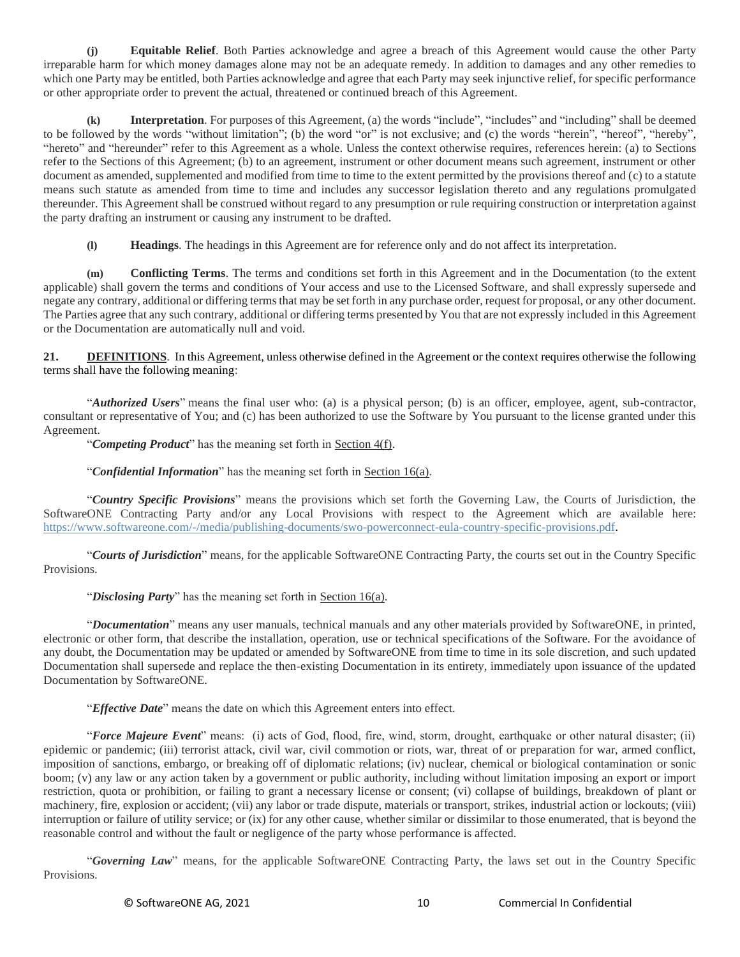**(j) Equitable Relief**. Both Parties acknowledge and agree a breach of this Agreement would cause the other Party irreparable harm for which money damages alone may not be an adequate remedy. In addition to damages and any other remedies to which one Party may be entitled, both Parties acknowledge and agree that each Party may seek injunctive relief, for specific performance or other appropriate order to prevent the actual, threatened or continued breach of this Agreement.

**(k) Interpretation**. For purposes of this Agreement, (a) the words "include", "includes" and "including" shall be deemed to be followed by the words "without limitation"; (b) the word "or" is not exclusive; and (c) the words "herein", "hereof", "hereby", "hereto" and "hereunder" refer to this Agreement as a whole. Unless the context otherwise requires, references herein: (a) to Sections refer to the Sections of this Agreement; (b) to an agreement, instrument or other document means such agreement, instrument or other document as amended, supplemented and modified from time to time to the extent permitted by the provisions thereof and (c) to a statute means such statute as amended from time to time and includes any successor legislation thereto and any regulations promulgated thereunder. This Agreement shall be construed without regard to any presumption or rule requiring construction or interpretation against the party drafting an instrument or causing any instrument to be drafted.

**(l) Headings**. The headings in this Agreement are for reference only and do not affect its interpretation.

**(m) Conflicting Terms**. The terms and conditions set forth in this Agreement and in the Documentation (to the extent applicable) shall govern the terms and conditions of Your access and use to the Licensed Software, and shall expressly supersede and negate any contrary, additional or differing terms that may be set forth in any purchase order, request for proposal, or any other document. The Parties agree that any such contrary, additional or differing terms presented by You that are not expressly included in this Agreement or the Documentation are automatically null and void.

**21. DEFINITIONS**. In this Agreement, unless otherwise defined in the Agreement or the context requires otherwise the following terms shall have the following meaning:

"*Authorized Users*" means the final user who: (a) is a physical person; (b) is an officer, employee, agent, sub-contractor, consultant or representative of You; and (c) has been authorized to use the Software by You pursuant to the license granted under this Agreement.

"*Competing Product*" has the meaning set forth in Section 4(f).

"*Confidential Information*" has the meaning set forth in Section 16(a).

"*Country Specific Provisions*" means the provisions which set forth the Governing Law, the Courts of Jurisdiction, the SoftwareONE Contracting Party and/or any Local Provisions with respect to the Agreement which are available here: [https://www.softwareone.com/-/media/publishing-documents/swo-powerconnect-eula-country-specific-provisions.pdf.](https://www.softwareone.com/-/media/publishing-documents/swo-powerconnect-eula-country-specific-provisions.pdf)

"*Courts of Jurisdiction*" means, for the applicable SoftwareONE Contracting Party, the courts set out in the Country Specific Provisions.

"*Disclosing Party*" has the meaning set forth in Section 16(a).

"*Documentation*" means any user manuals, technical manuals and any other materials provided by SoftwareONE, in printed, electronic or other form, that describe the installation, operation, use or technical specifications of the Software. For the avoidance of any doubt, the Documentation may be updated or amended by SoftwareONE from time to time in its sole discretion, and such updated Documentation shall supersede and replace the then-existing Documentation in its entirety, immediately upon issuance of the updated Documentation by SoftwareONE.

"*Effective Date*" means the date on which this Agreement enters into effect.

"*Force Majeure Event*" means: (i) acts of God, flood, fire, wind, storm, drought, earthquake or other natural disaster; (ii) epidemic or pandemic; (iii) terrorist attack, civil war, civil commotion or riots, war, threat of or preparation for war, armed conflict, imposition of sanctions, embargo, or breaking off of diplomatic relations; (iv) nuclear, chemical or biological contamination or sonic boom; (v) any law or any action taken by a government or public authority, including without limitation imposing an export or import restriction, quota or prohibition, or failing to grant a necessary license or consent; (vi) collapse of buildings, breakdown of plant or machinery, fire, explosion or accident; (vii) any labor or trade dispute, materials or transport, strikes, industrial action or lockouts; (viii) interruption or failure of utility service; or (ix) for any other cause, whether similar or dissimilar to those enumerated, that is beyond the reasonable control and without the fault or negligence of the party whose performance is affected.

"*Governing Law*" means, for the applicable SoftwareONE Contracting Party, the laws set out in the Country Specific Provisions.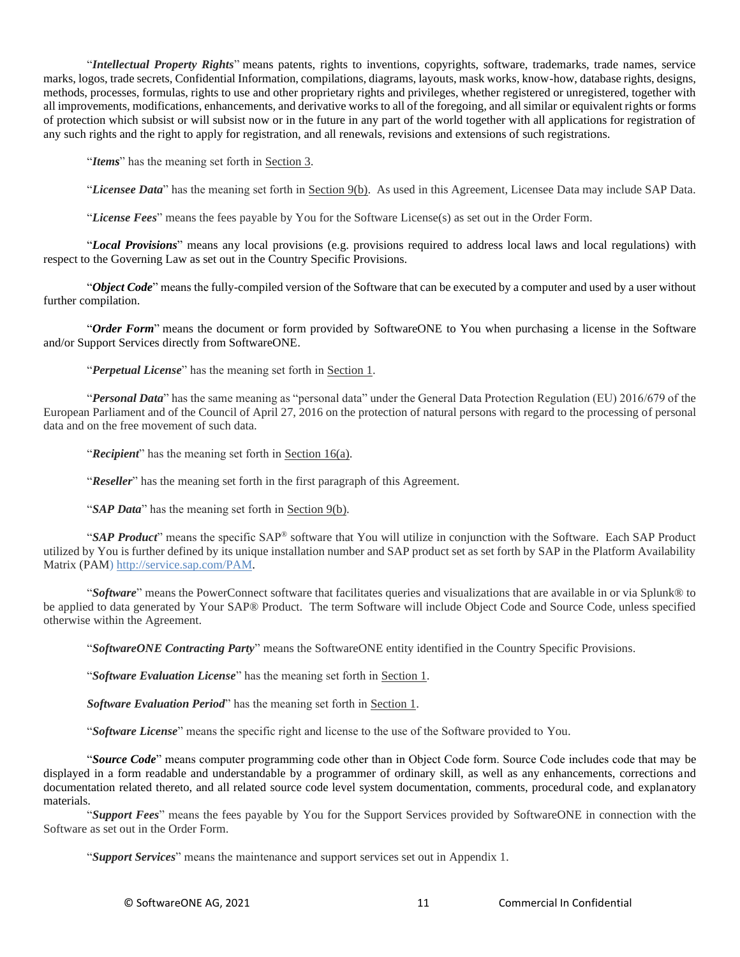"*Intellectual Property Rights*" means patents, rights to inventions, copyrights, software, trademarks, trade names, service marks, logos, trade secrets, Confidential Information, compilations, diagrams, layouts, mask works, know-how, database rights, designs, methods, processes, formulas, rights to use and other proprietary rights and privileges, whether registered or unregistered, together with all improvements, modifications, enhancements, and derivative works to all of the foregoing, and all similar or equivalent rights or forms of protection which subsist or will subsist now or in the future in any part of the world together with all applications for registration of any such rights and the right to apply for registration, and all renewals, revisions and extensions of such registrations.

"*Items*" has the meaning set forth in Section 3.

"*Licensee Data*" has the meaning set forth in Section 9(b). As used in this Agreement, Licensee Data may include SAP Data.

"*License Fees*" means the fees payable by You for the Software License(s) as set out in the Order Form.

"*Local Provisions*" means any local provisions (e.g. provisions required to address local laws and local regulations) with respect to the Governing Law as set out in the Country Specific Provisions.

"*Object Code*" means the fully-compiled version of the Software that can be executed by a computer and used by a user without further compilation.

"*Order Form*" means the document or form provided by SoftwareONE to You when purchasing a license in the Software and/or Support Services directly from SoftwareONE.

"*Perpetual License*" has the meaning set forth in Section 1.

"*Personal Data*" has the same meaning as "personal data" under the General Data Protection Regulation (EU) 2016/679 of the European Parliament and of the Council of April 27, 2016 on the protection of natural persons with regard to the processing of personal data and on the free movement of such data.

"*Recipient*" has the meaning set forth in Section 16(a).

"*Reseller*" has the meaning set forth in the first paragraph of this Agreement.

"*SAP Data*" has the meaning set forth in Section 9(b).

"*SAP Product*" means the specific SAP® software that You will utilize in conjunction with the Software. Each SAP Product utilized by You is further defined by its unique installation number and SAP product set as set forth by SAP in the Platform Availability Matrix (PAM[\) http://service.sap.com/PAM.](http://service.sap.com/PAM)

"*Software*" means the PowerConnect software that facilitates queries and visualizations that are available in or via Splunk® to be applied to data generated by Your SAP® Product. The term Software will include Object Code and Source Code, unless specified otherwise within the Agreement.

"*SoftwareONE Contracting Party*" means the SoftwareONE entity identified in the Country Specific Provisions.

"*Software Evaluation License*" has the meaning set forth in Section 1.

*Software Evaluation Period*" has the meaning set forth in Section 1.

"*Software License*" means the specific right and license to the use of the Software provided to You.

"*Source Code*" means computer programming code other than in Object Code form. Source Code includes code that may be displayed in a form readable and understandable by a programmer of ordinary skill, as well as any enhancements, corrections and documentation related thereto, and all related source code level system documentation, comments, procedural code, and explanatory materials.

"*Support Fees*" means the fees payable by You for the Support Services provided by SoftwareONE in connection with the Software as set out in the Order Form.

"*Support Services*" means the maintenance and support services set out in Appendix 1.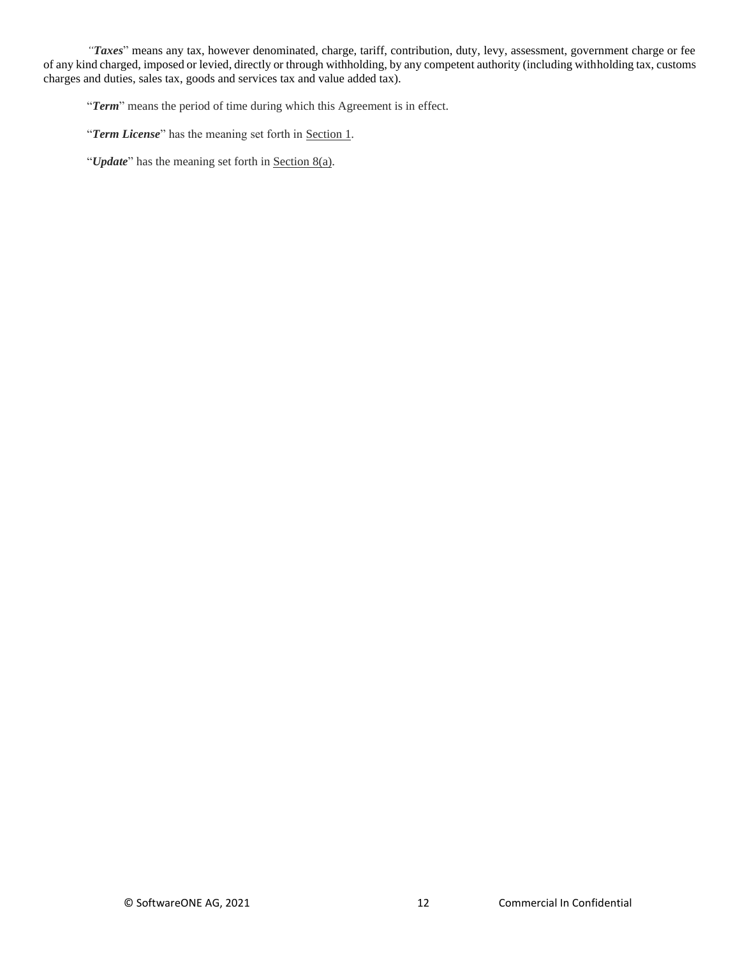*"Taxes*" means any tax, however denominated, charge, tariff, contribution, duty, levy, assessment, government charge or fee of any kind charged, imposed or levied, directly or through withholding, by any competent authority (including withholding tax, customs charges and duties, sales tax, goods and services tax and value added tax).

"*Term*" means the period of time during which this Agreement is in effect.

"*Term License*" has the meaning set forth in Section 1.

"*Update*" has the meaning set forth in Section 8(a).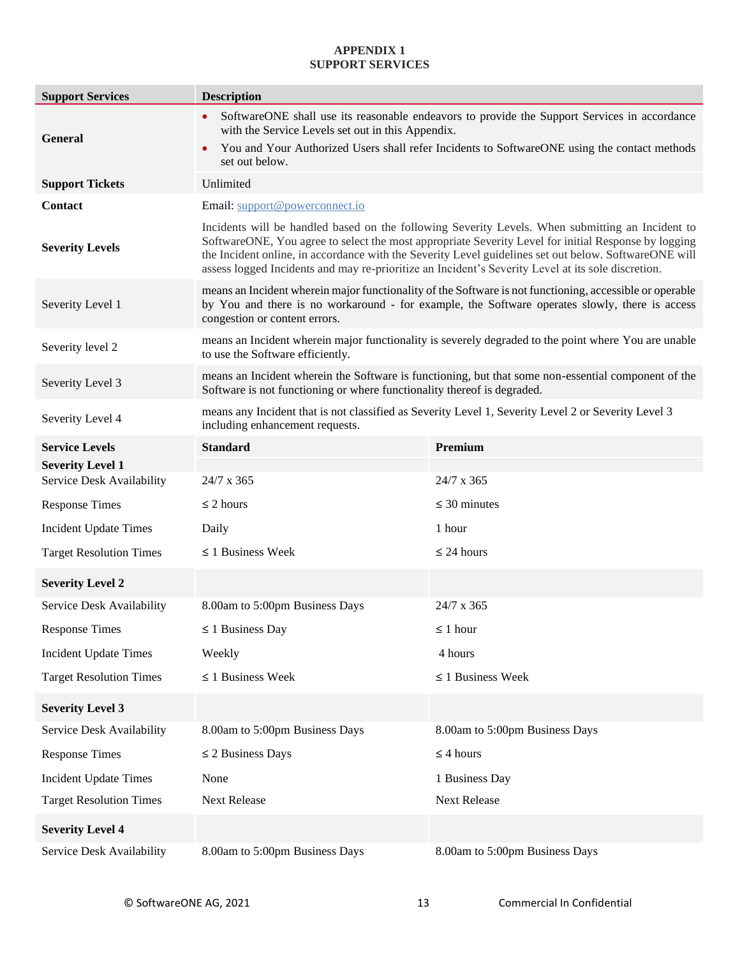#### **APPENDIX 1 SUPPORT SERVICES**

| <b>Support Services</b>                              | <b>Description</b>                                                                                                                                                                                                                                                                                                                                                                                                      |                                |
|------------------------------------------------------|-------------------------------------------------------------------------------------------------------------------------------------------------------------------------------------------------------------------------------------------------------------------------------------------------------------------------------------------------------------------------------------------------------------------------|--------------------------------|
| <b>General</b>                                       | SoftwareONE shall use its reasonable endeavors to provide the Support Services in accordance<br>$\bullet$<br>with the Service Levels set out in this Appendix.                                                                                                                                                                                                                                                          |                                |
|                                                      | You and Your Authorized Users shall refer Incidents to SoftwareONE using the contact methods<br>$\bullet$<br>set out below.                                                                                                                                                                                                                                                                                             |                                |
| <b>Support Tickets</b>                               | Unlimited                                                                                                                                                                                                                                                                                                                                                                                                               |                                |
| <b>Contact</b>                                       | Email: support@powerconnect.io                                                                                                                                                                                                                                                                                                                                                                                          |                                |
| <b>Severity Levels</b>                               | Incidents will be handled based on the following Severity Levels. When submitting an Incident to<br>SoftwareONE, You agree to select the most appropriate Severity Level for initial Response by logging<br>the Incident online, in accordance with the Severity Level guidelines set out below. SoftwareONE will<br>assess logged Incidents and may re-prioritize an Incident's Severity Level at its sole discretion. |                                |
| Severity Level 1                                     | means an Incident wherein major functionality of the Software is not functioning, accessible or operable<br>by You and there is no workaround - for example, the Software operates slowly, there is access<br>congestion or content errors.                                                                                                                                                                             |                                |
| Severity level 2                                     | means an Incident wherein major functionality is severely degraded to the point where You are unable<br>to use the Software efficiently.                                                                                                                                                                                                                                                                                |                                |
| Severity Level 3                                     | means an Incident wherein the Software is functioning, but that some non-essential component of the<br>Software is not functioning or where functionality thereof is degraded.                                                                                                                                                                                                                                          |                                |
| Severity Level 4                                     | means any Incident that is not classified as Severity Level 1, Severity Level 2 or Severity Level 3<br>including enhancement requests.                                                                                                                                                                                                                                                                                  |                                |
| <b>Service Levels</b>                                | <b>Standard</b>                                                                                                                                                                                                                                                                                                                                                                                                         | Premium                        |
| <b>Severity Level 1</b><br>Service Desk Availability | 24/7 x 365                                                                                                                                                                                                                                                                                                                                                                                                              | 24/7 x 365                     |
|                                                      | $\leq$ 2 hours                                                                                                                                                                                                                                                                                                                                                                                                          | $\leq$ 30 minutes              |
| <b>Response Times</b>                                |                                                                                                                                                                                                                                                                                                                                                                                                                         |                                |
| <b>Incident Update Times</b>                         | Daily                                                                                                                                                                                                                                                                                                                                                                                                                   | 1 hour                         |
| <b>Target Resolution Times</b>                       | $\leq$ 1 Business Week                                                                                                                                                                                                                                                                                                                                                                                                  | $\leq$ 24 hours                |
| <b>Severity Level 2</b>                              |                                                                                                                                                                                                                                                                                                                                                                                                                         |                                |
| Service Desk Availability                            | 8.00am to 5:00pm Business Days                                                                                                                                                                                                                                                                                                                                                                                          | 24/7 x 365                     |
| <b>Response Times</b>                                | $\leq$ 1 Business Day                                                                                                                                                                                                                                                                                                                                                                                                   | $\leq 1$ hour                  |
| <b>Incident Update Times</b>                         | Weekly                                                                                                                                                                                                                                                                                                                                                                                                                  | 4 hours                        |
| <b>Target Resolution Times</b>                       | $\leq$ 1 Business Week                                                                                                                                                                                                                                                                                                                                                                                                  | $\leq$ 1 Business Week         |
| <b>Severity Level 3</b>                              |                                                                                                                                                                                                                                                                                                                                                                                                                         |                                |
| Service Desk Availability                            | 8.00am to 5:00pm Business Days                                                                                                                                                                                                                                                                                                                                                                                          | 8.00am to 5:00pm Business Days |
| <b>Response Times</b>                                | $\leq$ 2 Business Days                                                                                                                                                                                                                                                                                                                                                                                                  | $\leq$ 4 hours                 |
| <b>Incident Update Times</b>                         | None                                                                                                                                                                                                                                                                                                                                                                                                                    | 1 Business Day                 |
| <b>Target Resolution Times</b>                       | <b>Next Release</b>                                                                                                                                                                                                                                                                                                                                                                                                     | Next Release                   |
| <b>Severity Level 4</b>                              |                                                                                                                                                                                                                                                                                                                                                                                                                         |                                |
| Service Desk Availability                            | 8.00am to 5:00pm Business Days                                                                                                                                                                                                                                                                                                                                                                                          | 8.00am to 5:00pm Business Days |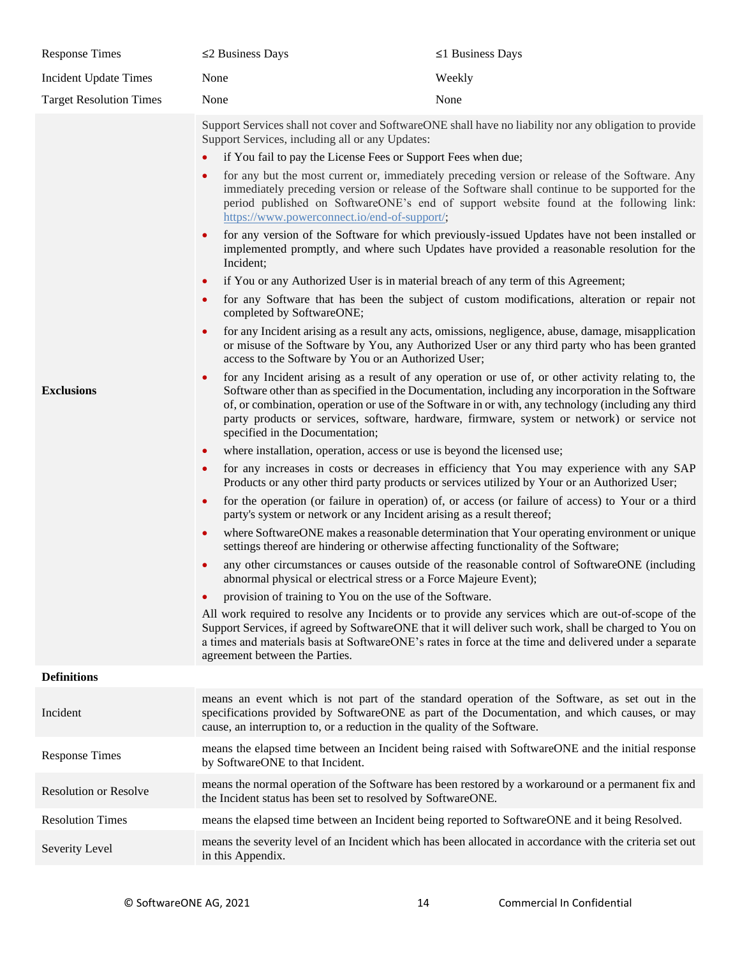| <b>Response Times</b>          | $\leq$ 2 Business Days                                                                                                                                                                                                                                                                                                                                                                                                                                                                                                                                                                                                                                                                                                                                                                                                                                                                                       | $\leq$ 1 Business Days                                                                                                                                                                                                                                                                                                                                                                                                                                                                                                                                                                                                                                                                                                                                                                                                                                                                                                                                                                                                                                                                                                                                                                                                                                                                                                                                                                                                                                                                                                                                                                                                                                                                                                                                                                                                                                                                                                                                                                                                                                                                                                                                             |
|--------------------------------|--------------------------------------------------------------------------------------------------------------------------------------------------------------------------------------------------------------------------------------------------------------------------------------------------------------------------------------------------------------------------------------------------------------------------------------------------------------------------------------------------------------------------------------------------------------------------------------------------------------------------------------------------------------------------------------------------------------------------------------------------------------------------------------------------------------------------------------------------------------------------------------------------------------|--------------------------------------------------------------------------------------------------------------------------------------------------------------------------------------------------------------------------------------------------------------------------------------------------------------------------------------------------------------------------------------------------------------------------------------------------------------------------------------------------------------------------------------------------------------------------------------------------------------------------------------------------------------------------------------------------------------------------------------------------------------------------------------------------------------------------------------------------------------------------------------------------------------------------------------------------------------------------------------------------------------------------------------------------------------------------------------------------------------------------------------------------------------------------------------------------------------------------------------------------------------------------------------------------------------------------------------------------------------------------------------------------------------------------------------------------------------------------------------------------------------------------------------------------------------------------------------------------------------------------------------------------------------------------------------------------------------------------------------------------------------------------------------------------------------------------------------------------------------------------------------------------------------------------------------------------------------------------------------------------------------------------------------------------------------------------------------------------------------------------------------------------------------------|
| <b>Incident Update Times</b>   | None                                                                                                                                                                                                                                                                                                                                                                                                                                                                                                                                                                                                                                                                                                                                                                                                                                                                                                         | Weekly                                                                                                                                                                                                                                                                                                                                                                                                                                                                                                                                                                                                                                                                                                                                                                                                                                                                                                                                                                                                                                                                                                                                                                                                                                                                                                                                                                                                                                                                                                                                                                                                                                                                                                                                                                                                                                                                                                                                                                                                                                                                                                                                                             |
| <b>Target Resolution Times</b> | None                                                                                                                                                                                                                                                                                                                                                                                                                                                                                                                                                                                                                                                                                                                                                                                                                                                                                                         | None                                                                                                                                                                                                                                                                                                                                                                                                                                                                                                                                                                                                                                                                                                                                                                                                                                                                                                                                                                                                                                                                                                                                                                                                                                                                                                                                                                                                                                                                                                                                                                                                                                                                                                                                                                                                                                                                                                                                                                                                                                                                                                                                                               |
| <b>Exclusions</b>              | Support Services, including all or any Updates:<br>if You fail to pay the License Fees or Support Fees when due;<br>https://www.powerconnect.io/end-of-support/;<br>$\bullet$<br>Incident;<br>if You or any Authorized User is in material breach of any term of this Agreement;<br>$\bullet$<br>$\bullet$<br>completed by SoftwareONE;<br>access to the Software by You or an Authorized User;<br>٠<br>specified in the Documentation;<br>where installation, operation, access or use is beyond the licensed use;<br>$\bullet$<br>$\bullet$<br>$\bullet$<br>party's system or network or any Incident arising as a result thereof;<br>$\bullet$<br>settings thereof are hindering or otherwise affecting functionality of the Software;<br>abnormal physical or electrical stress or a Force Majeure Event);<br>provision of training to You on the use of the Software.<br>agreement between the Parties. | Support Services shall not cover and SoftwareONE shall have no liability nor any obligation to provide<br>for any but the most current or, immediately preceding version or release of the Software. Any<br>immediately preceding version or release of the Software shall continue to be supported for the<br>period published on SoftwareONE's end of support website found at the following link:<br>for any version of the Software for which previously-issued Updates have not been installed or<br>implemented promptly, and where such Updates have provided a reasonable resolution for the<br>for any Software that has been the subject of custom modifications, alteration or repair not<br>for any Incident arising as a result any acts, omissions, negligence, abuse, damage, misapplication<br>or misuse of the Software by You, any Authorized User or any third party who has been granted<br>for any Incident arising as a result of any operation or use of, or other activity relating to, the<br>Software other than as specified in the Documentation, including any incorporation in the Software<br>of, or combination, operation or use of the Software in or with, any technology (including any third<br>party products or services, software, hardware, firmware, system or network) or service not<br>for any increases in costs or decreases in efficiency that You may experience with any SAP<br>Products or any other third party products or services utilized by Your or an Authorized User;<br>for the operation (or failure in operation) of, or access (or failure of access) to Your or a third<br>where SoftwareONE makes a reasonable determination that Your operating environment or unique<br>any other circumstances or causes outside of the reasonable control of SoftwareONE (including<br>All work required to resolve any Incidents or to provide any services which are out-of-scope of the<br>Support Services, if agreed by SoftwareONE that it will deliver such work, shall be charged to You on<br>a times and materials basis at SoftwareONE's rates in force at the time and delivered under a separate |
| <b>Definitions</b>             |                                                                                                                                                                                                                                                                                                                                                                                                                                                                                                                                                                                                                                                                                                                                                                                                                                                                                                              |                                                                                                                                                                                                                                                                                                                                                                                                                                                                                                                                                                                                                                                                                                                                                                                                                                                                                                                                                                                                                                                                                                                                                                                                                                                                                                                                                                                                                                                                                                                                                                                                                                                                                                                                                                                                                                                                                                                                                                                                                                                                                                                                                                    |
| Incident                       | cause, an interruption to, or a reduction in the quality of the Software.                                                                                                                                                                                                                                                                                                                                                                                                                                                                                                                                                                                                                                                                                                                                                                                                                                    | means an event which is not part of the standard operation of the Software, as set out in the<br>specifications provided by SoftwareONE as part of the Documentation, and which causes, or may                                                                                                                                                                                                                                                                                                                                                                                                                                                                                                                                                                                                                                                                                                                                                                                                                                                                                                                                                                                                                                                                                                                                                                                                                                                                                                                                                                                                                                                                                                                                                                                                                                                                                                                                                                                                                                                                                                                                                                     |
| <b>Response Times</b>          | means the elapsed time between an Incident being raised with SoftwareONE and the initial response<br>by SoftwareONE to that Incident.                                                                                                                                                                                                                                                                                                                                                                                                                                                                                                                                                                                                                                                                                                                                                                        |                                                                                                                                                                                                                                                                                                                                                                                                                                                                                                                                                                                                                                                                                                                                                                                                                                                                                                                                                                                                                                                                                                                                                                                                                                                                                                                                                                                                                                                                                                                                                                                                                                                                                                                                                                                                                                                                                                                                                                                                                                                                                                                                                                    |
| <b>Resolution or Resolve</b>   | the Incident status has been set to resolved by SoftwareONE.                                                                                                                                                                                                                                                                                                                                                                                                                                                                                                                                                                                                                                                                                                                                                                                                                                                 | means the normal operation of the Software has been restored by a workaround or a permanent fix and                                                                                                                                                                                                                                                                                                                                                                                                                                                                                                                                                                                                                                                                                                                                                                                                                                                                                                                                                                                                                                                                                                                                                                                                                                                                                                                                                                                                                                                                                                                                                                                                                                                                                                                                                                                                                                                                                                                                                                                                                                                                |
| <b>Resolution Times</b>        | means the elapsed time between an Incident being reported to SoftwareONE and it being Resolved.                                                                                                                                                                                                                                                                                                                                                                                                                                                                                                                                                                                                                                                                                                                                                                                                              |                                                                                                                                                                                                                                                                                                                                                                                                                                                                                                                                                                                                                                                                                                                                                                                                                                                                                                                                                                                                                                                                                                                                                                                                                                                                                                                                                                                                                                                                                                                                                                                                                                                                                                                                                                                                                                                                                                                                                                                                                                                                                                                                                                    |
| Severity Level                 | in this Appendix.                                                                                                                                                                                                                                                                                                                                                                                                                                                                                                                                                                                                                                                                                                                                                                                                                                                                                            | means the severity level of an Incident which has been allocated in accordance with the criteria set out                                                                                                                                                                                                                                                                                                                                                                                                                                                                                                                                                                                                                                                                                                                                                                                                                                                                                                                                                                                                                                                                                                                                                                                                                                                                                                                                                                                                                                                                                                                                                                                                                                                                                                                                                                                                                                                                                                                                                                                                                                                           |